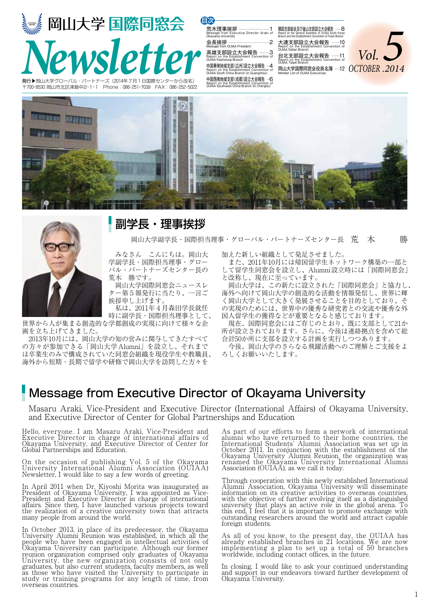



### 副学長・理事挨拶

岡山大学副学長・国際担当理事・グローバル・パートナーズセンター長 荒 木 勝

 みなさん こんにちは。岡山大 学副学長・国際担当理事・グロー バル・パートナーズセンター長の 荒木 勝です。

 岡山大学国際同窓会ニュースレ ター第5報発行に当たり、一言ご 挨拶申し上げます。 私は、2011年4月森田学長就任

時に副学長・国際担当理事として、

世界から人が集まる創造的な学都創成の実現に向けて様々な企 画を立ち上げてきました。

 2013年10月には、岡山大学の知の営みに関与してきたすべて の方々が参加できる「岡山大学Alumni」を設立し、それまで は卒業生のみで構成されていた同窓会組織を現役学生や教職員、 海外から短期・長期で留学や研修で岡山大学を訪問した方々を

加えた新しい組織として発足させました。

 また、2011年10月には帰国留学生ネットワーク構築の一部と して留学生同窓会を設立し、Alumni設立時には「国際同窓会」 と改称し、現在に至っています。

 岡山大学は、この新たに設立された「国際同窓会」と協力し、 海外へ向けて岡山大学の創造的な活動を情報発信し、世界に輝 く岡山大学として大きく発展させることを目的としており、そ の実現のためには、世界中の優秀な研究者との交流や優秀な外 国人留学生の獲得などが重要となると感じております。

 現在、国際同窓会にはご存じのとおり、既に支部として21か 所が設立されております。さらに、今後は連絡拠点を含めて総 合計50か所に支部を設立する計画を実行しつつあります。 今後、岡山大学のさらなる飛躍活動へのご理解とご支援をよ

ろしくお願いいたします。

### Message from Executive Director of Okayama University

Masaru Araki, Vice-President and Executive Director (International Affairs) of Okayama University, and Executive Director of Center for Global Partnerships and Education

Hello, everyone. I am Masaru Araki, Vice-President and Executive Director in charge of international affairs of Okayama University, and Executive Director of Center for Global Partnerships and Education.

On the occasion of publishing Vol. 5 of the Okayama University International Alumni Association (OUIAA) Newsletter, I would like to say a few words of greeting.

In April 2011 when Dr. Kiyoshi Morita was inaugurated as President of Okayama University, I was appointed as Vice-President and Executive Director in charge of international affairs. Since then, I have launched various projects toward the realization of a creative university town that attracts many people from around the world.

In October 2013, in place of its predecessor, the Okayama University Alumni Reunion was established, in which all the people who have been engaged in intellectual activities of Okayama University can participate. Although our former reunion organization comprised only graduates of Okayama University, the new organization consists of not only graduates, but also current students, faculty members, as well as those who have visited the University to participate in study or training programs for any length of time, from overseas countries.

As part of our efforts to form a network of international alumni who have returned to their home countries, the International Students' Alumni Association was set up in October 2011. In conjunction with the establishment of the Okayama University Alumni Reunion, the organization was renamed the Okayama University International Alumni Association (OUIAA), as we call it today.

Through cooperation with this newly established International Alumni Association, Okayama University will disseminate information on its creative activities to overseas countries, with the objective of further evolving itself as a distinguished university that plays an active role in the global arena. To this end, I feel that it is important to promote exchange with outstanding researchers around the world and attract capable foreign students.

As all of you know, to the present day, the OUIAA has already established branches in 21 locations. We are now implementing a plan to set up a total of 50 branches worldwide, including contact offices, in the future.

In closing, I would like to ask your continued understanding and support in our endeavors toward further development of Okayama University.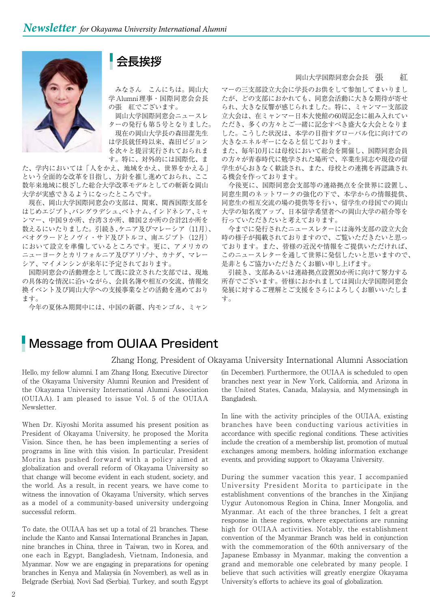

### 会長挨拶

 みなさん こんにちは。岡山大 学Alumni理事・国際同窓会会長 の張 紅でございます。

 岡山大学国際同窓会ニュースレ ターの発行も第5号となりました。

 現在の岡山大学長の森田潔先生 は学長就任時以来、森田ビジョン を次々と提言実行されておられま す。特に、対外的には国際化、ま

た、学内においては「人をかえ、地域をかえ、世界をかえる」 という全面的な改革を目指し、方針を推し進めておられ、ここ 数年来地域に根ざした総合大学改革モデルとしての斬新な岡山 大学が実感できるようになったところです。

 現在、岡山大学国際同窓会の支部は、関東、関西国際支部を はじめエジプト、バングラデシュ、ベトナム、インドネシア、ミャ ンマー、中国9か所、台湾3か所、韓国2か所の合計21か所を 数えるにいたりました。引続き、ケニア及びマレーシア(11月)、 ベオグラードとノヴィ・サド及びトルコ、南エジプト(12月) において設立を準備しているところです。更に、アメリカの ニューヨークとカリフォルニア及びアリゾナ、カナダ、マレー シア、マイメンシンが来年に予定されております。

 国際同窓会の活動理念として既に設立された支部では、現地 の具体的な情況に沿いながら、会員名簿や相互の交流、情報交 換イベント及び岡山大学への支援事業などの活動を進めており ます。

今年の夏休み期間中には、中国の新疆、内モンゴル、ミャン

#### 岡山大学国際同窓会会長 張 紅

マーの三支部設立大会に学長のお供をして参加してまいりまし たが、どの支部におかれても、同窓会活動に大きな期待が寄せ られ、大きな反響が感じられました。特に、ミャンマー支部設 立大会は、在ミャンマー日本大使館の60周記念に組み入れてい ただき、多くの方々とご一緒に記念すべき盛大な大会となりま した。こうした状況は、本学の目指すグローバル化に向けての 大きなエネルギーになると信じております。

また、毎年10月には母校において総会を開催し、国際同窓会員 の方々が青春時代に勉学された場所で、卒業生同志や現役の留 学生が心おきなく歓談され、また、母校との連携を再認識され る機会を作っております。

 今後更に、国際同窓会支部等の連絡拠点を全世界に設置し、 同窓生間のネットワークの強化の下で、本学からの情報提供、 同窓生の相互交流の場の提供等を行い、留学生の母国での岡山 大学の知名度アップ、日本留学希望者への岡山大学の紹介等を 行っていただきたいと考えております。

 今までに発行されたニュースレターには海外支部の設立大会 時の様子が掲載されておりますので、ご覧いただきたいと思っ ております。また、皆様の近況や情報をご提供いただければ、 このニュースレターを通して世界に発信したいと思いますので、 是非ともご協力いただきたくお願い申し上げます。

 引続き、支部あるいは連絡拠点設置50か所に向けて努力する 所存でございます。皆様におかれましては岡山大学国際同窓会 発展に対するご理解とご支援をさらによろしくお願いいたしま す。

### Message from OUIAA President

#### Zhang Hong, President of Okayama University International Alumni Association

Hello, my fellow alumni. I am Zhang Hong, Executive Director of the Okayama University Alumni Reunion and President of the Okayama University International Alumni Association (OUIAA). I am pleased to issue Vol. 5 of the OUIAA Newsletter.

When Dr. Kiyoshi Morita assumed his present position as President of Okayama University, he proposed the Morita Vision. Since then, he has been implementing a series of programs in line with this vision. In particular, President Morita has pushed forward with a policy aimed at globalization and overall reform of Okayama University so that change will become evident in each student, society, and the world. As a result, in recent years, we have come to witness the innovation of Okayama University, which serves as a model of a community-based university undergoing successful reform.

To date, the OUIAA has set up a total of 21 branches. These include the Kanto and Kansai International Branches in Japan, nine branches in China, three in Taiwan, two in Korea, and one each in Egypt, Bangladesh, Vietnam, Indonesia, and Myanmar. Now we are engaging in preparations for opening branches in Kenya and Malaysia (in November), as well as in Belgrade (Serbia), Novi Sad (Serbia), Turkey, and south Egypt

(in December). Furthermore, the OUIAA is scheduled to open branches next year in New York, California, and Arizona in the United States, Canada, Malaysia, and Mymensingh in Bangladesh.

In line with the activity principles of the OUIAA, existing branches have been conducting various activities in accordance with specific regional conditions. These activities include the creation of a membership list, promotion of mutual exchanges among members, holding information exchange events, and providing support to Okayama University.

During the summer vacation this year, I accompanied University President Morita to participate in the establishment conventions of the branches in the Xinjiang Uygur Autonomous Region in China, Inner Mongolia, and Myanmar. At each of the three branches, I felt a great response in these regions, where expectations are running high for OUIAA activities. Notably, the establishment convention of the Myanmar Branch was held in conjunction with the commemoration of the 60th anniversary of the Japanese Embassy in Myanmar, making the convention a grand and memorable one celebrated by many people. I believe that such activities will greatly energize Okayama University's efforts to achieve its goal of globalization.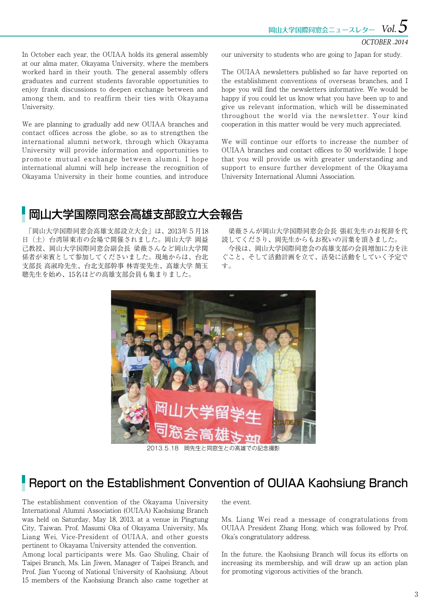岡山大学国際同窓会ニュースレター *5* 

#### OCTOBER *.2014 Vol.*

In October each year, the OUIAA holds its general assembly at our alma mater, Okayama University, where the members worked hard in their youth. The general assembly offers graduates and current students favorable opportunities to enjoy frank discussions to deepen exchange between and among them, and to reaffirm their ties with Okayama University.

We are planning to gradually add new OUIAA branches and contact offices across the globe, so as to strengthen the international alumni network, through which Okayama University will provide information and opportunities to promote mutual exchange between alumni. I hope international alumni will help increase the recognition of Okayama University in their home counties, and introduce

our university to students who are going to Japan for study.

The OUIAA newsletters published so far have reported on the establishment conventions of overseas branches, and I hope you will find the newsletters informative. We would be happy if you could let us know what you have been up to and give us relevant information, which will be disseminated throughout the world via the newsletter. Your kind cooperation in this matter would be very much appreciated.

We will continue our efforts to increase the number of OUIAA branches and contact offices to 50 worldwide. I hope that you will provide us with greater understanding and support to ensure further development of the Okayama University International Alumni Association.

## 岡山大学国際同窓会高雄支部設立大会報告

 「岡山大学国際同窓会高雄支部設立大会」は、2013年5月18 日(土)台湾屏東市の会場で開催されました。岡山大学 岡益 己教授、岡山大学国際同窓会副会長 梁薇さんなど岡山大学関 係者が来賓として参加してくださいました。現地からは、台北 支部長 高淑玲先生、台北支部幹事 林寄雯先生、高雄大学 簡玉 聰先生を始め、15名ほどの高雄支部会員も集まりました。

 梁薇さんが岡山大学国際同窓会会長 張紅先生のお祝辞を代 読してくださり、岡先生からもお祝いの言葉を頂きました。 今後は、岡山大学国際同窓会の高雄支部の会員増加に力を注 ぐこと、そして活動計画を立て、活発に活動をしていく予定で す。



2013.5.18 岡先生と同窓生との高雄での記念撮影

### Report on the Establishment Convention of OUIAA Kaohsiung Branch

The establishment convention of the Okayama University International Alumni Association (OUIAA) Kaohsiung Branch was held on Saturday, May 18, 2013, at a venue in Pingtung City, Taiwan. Prof. Masumi Oka of Okayama University, Ms. Liang Wei, Vice-President of OUIAA, and other guests pertinent to Okayama University attended the convention.

Among local participants were Ms. Gao Shuling, Chair of Taipei Branch, Ms. Lin Jiwen, Manager of Taipei Branch, and Prof. Jian Yucong of National University of Kaohsiung. About 15 members of the Kaohsiung Branch also came together at

#### the event.

Ms. Liang Wei read a message of congratulations from OUIAA President Zhang Hong, which was followed by Prof. Oka's congratulatory address.

In the future, the Kaohsiung Branch will focus its efforts on increasing its membership, and will draw up an action plan for promoting vigorous activities of the branch.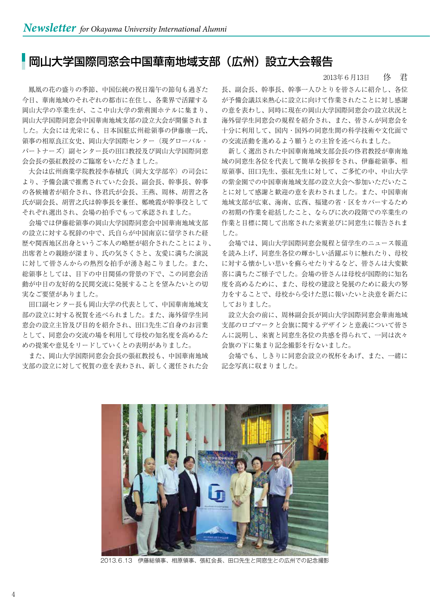## 岡山大学国際同窓会中国華南地域支部(広州)設立大会報告

 鳳凰の花の盛りの季節、中国伝統の祝日端午の節句も過ぎた 今日、華南地域のそれぞれの都市に在住し、各業界で活躍する 岡山大学の卒業生が、ここ中山大学の紫荊園ホテルに集まり、 岡山大学国際同窓会中国華南地域支部の設立大会が開催されま した。大会には光栄にも、日本国駐広州総領事の伊藤康一氏、 領事の相原良江女史、岡山大学国際センター(現グローバル・ パートナーズ)副センター長の田口教授及び岡山大学国際同窓 会会長の張紅教授のご臨席をいただきました。

大会は広州商業学院教授李春植氏(岡大文学部卒)の司会に より、予備会議で推薦されていた会長、副会長、幹事長、幹事 の各候補者が紹介され、佟君氏が会長、王燕、周林、胡習之各 氏が副会長、胡習之氏は幹事長を兼任、鄭暁霞が幹事役として それぞれ選出され、会場の拍手でもって承認されました。

 会場では伊藤総領事の岡山大学国際同窓会中国華南地域支部 の設立に対する祝辞の中で、氏自らが中国南京に留学された経 歴や関西地区出身というご本人の略歴が紹介されたことにより、 出席者との親睦が深まり、氏の気さくさと、友愛に満ちた演説 に対して皆さんからの熱烈な拍手が湧き起こりました。また、 総領事としては、目下の中日関係の背景の下で、この同窓会活 動が中日の友好的な民間交流に発展することを望みたいとの切 実なご要望がありました。

 田口副センター長も岡山大学の代表として、中国華南地域支 部の設立に対する祝賀を述べられました。また、海外留学生同 窓会の設立主旨及び目的を紹介され、田口先生ご自身のお言葉 として、同窓会の交流の場を利用して母校の知名度を高めるた めの提案や意見をリードしていくとの表明がありました。

 また、岡山大学国際同窓会会長の張紅教授も、中国華南地域 支部の設立に対して祝賀の意を表わされ、新しく選任された会 2013年6月13日 佟 君

長、副会長、幹事長、幹事一人ひとりを皆さんに紹介し、各位 が予備会議以来熱心に設立に向けて作業されたことに対し感謝 の意を表わし、同時に現在の岡山大学国際同窓会の設立状況と 海外留学生同窓会の規程を紹介され、また、皆さんが同窓会を 十分に利用して、国内・国外の同窓生間の科学技術や文化面で の交流活動を進めるよう願うとの主旨を述べられました。

 新しく選出された中国華南地域支部会長の佟君教授が華南地 域の同窓生各位を代表して簡単な挨拶をされ、伊藤総領事、相 原領事、田口先生、張紅先生に対して、ご多忙の中、中山大学 の紫金園での中国華南地域支部の設立大会へ参加いただいたこ とに対して感謝と歓迎の意を表わされました。また、中国華南 地域支部が広東、海南、広西、福建の省・区をカバーするため の初期の作業を総括したこと、ならびに次の段階での卒業生の 作業と目標に関して出席された来賓並びに同窓生に報告されま した。

 会場では、岡山大学国際同窓会規程と留学生のニュース報道 を読み上げ、同窓生各位の輝かしい活躍ぶりに触れたり、母校 に対する懐かしい思いを蘇らせたりするなど、皆さんは大変歓 喜に満ちたご様子でした。会場の皆さんは母校が国際的に知名 度を高めるために、また、母校の建設と発展のために最大の努 力をすることで、母校から受けた恩に報いたいと決意を新たに しておりました。

 設立大会の前に、周林副会長が岡山大学国際同窓会華南地域 支部のロゴマークと会旗に関するデザインと意義について皆さ んに説明し、来賓と同窓生各位の共感を得られて、一同は次々 会旗の下に集まり記念撮影を行ないました。

 会場でも、しきりに同窓会設立の祝杯をあげ、また、一緒に 記念写真に収まりました。



2013.6.13 伊藤総領事、相原領事、張紅会長、田口先生と同窓生との広州での記念撮影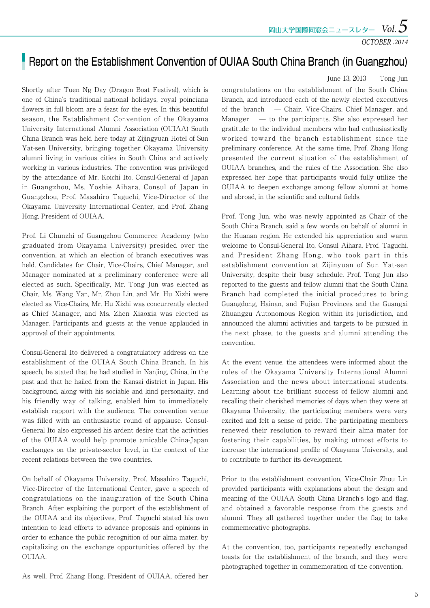#### OCTOBER *.2014*

## **Report on the Establishment Convention of OUIAA South China Branch (in Guangzhou)**

June 13, 2013 Tong Jun

Shortly after Tuen Ng Day (Dragon Boat Festival), which is one of China's traditional national holidays, royal poinciana flowers in full bloom are a feast for the eyes. In this beautiful season, the Establishment Convention of the Okayama University International Alumni Association (OUIAA) South China Branch was held here today at Zijingyuan Hotel of Sun Yat-sen University, bringing together Okayama University alumni living in various cities in South China and actively working in various industries. The convention was privileged by the attendance of Mr. Koichi Ito, Consul-General of Japan in Guangzhou, Ms. Yoshie Aihara, Consul of Japan in Guangzhou, Prof. Masahiro Taguchi, Vice-Director of the Okayama University International Center, and Prof. Zhang Hong, President of OUIAA.

Prof. Li Chunzhi of Guangzhou Commerce Academy (who graduated from Okayama University) presided over the convention, at which an election of branch executives was held. Candidates for Chair, Vice-Chairs, Chief Manager, and Manager nominated at a preliminary conference were all elected as such. Specifically, Mr. Tong Jun was elected as Chair, Ms. Wang Yan, Mr. Zhou Lin, and Mr. Hu Xizhi were elected as Vice-Chairs, Mr. Hu Xizhi was concurrently elected as Chief Manager, and Ms. Zhen Xiaoxia was elected as Manager. Participants and guests at the venue applauded in approval of their appointments.

Consul-General Ito delivered a congratulatory address on the establishment of the OUIAA South China Branch. In his speech, he stated that he had studied in Nanjing, China, in the past and that he hailed from the Kansai district in Japan. His background, along with his sociable and kind personality, and his friendly way of talking, enabled him to immediately establish rapport with the audience. The convention venue was filled with an enthusiastic round of applause. Consul-General Ito also expressed his ardent desire that the activities of the OUIAA would help promote amicable China-Japan exchanges on the private-sector level, in the context of the recent relations between the two countries.

On behalf of Okayama University, Prof. Masahiro Taguchi, Vice-Director of the International Center, gave a speech of congratulations on the inauguration of the South China Branch. After explaining the purport of the establishment of the OUIAA and its objectives, Prof. Taguchi stated his own intention to lead efforts to advance proposals and opinions in order to enhance the public recognition of our alma mater, by capitalizing on the exchange opportunities offered by the OUIAA.

As well, Prof. Zhang Hong, President of OUIAA, offered her

congratulations on the establishment of the South China Branch, and introduced each of the newly elected executives of the branch — Chair, Vice-Chairs, Chief Manager, and Manager — to the participants. She also expressed her gratitude to the individual members who had enthusiastically worked toward the branch establishment since the preliminary conference. At the same time, Prof. Zhang Hong presented the current situation of the establishment of OUIAA branches, and the rules of the Association. She also expressed her hope that participants would fully utilize the OUIAA to deepen exchange among fellow alumni at home and abroad, in the scientific and cultural fields.

Prof. Tong Jun, who was newly appointed as Chair of the South China Branch, said a few words on behalf of alumni in the Huanan region. He extended his appreciation and warm welcome to Consul-General Ito, Consul Aihara, Prof. Taguchi, and President Zhang Hong, who took part in this establishment convention at Zijinyuan of Sun Yat-sen University, despite their busy schedule. Prof. Tong Jun also reported to the guests and fellow alumni that the South China Branch had completed the initial procedures to bring Guangdong, Hainan, and Fujian Provinces and the Guangxi Zhuangzu Autonomous Region within its jurisdiction, and announced the alumni activities and targets to be pursued in the next phase, to the guests and alumni attending the convention.

At the event venue, the attendees were informed about the rules of the Okayama University International Alumni Association and the news about international students. Learning about the brilliant success of fellow alumni and recalling their cherished memories of days when they were at Okayama University, the participating members were very excited and felt a sense of pride. The participating members renewed their resolution to reward their alma mater for fostering their capabilities, by making utmost efforts to increase the international profile of Okayama University, and to contribute to further its development.

Prior to the establishment convention, Vice-Chair Zhou Lin provided participants with explanations about the design and meaning of the OUIAA South China Branch's logo and flag, and obtained a favorable response from the guests and alumni. They all gathered together under the flag to take commemorative photographs.

At the convention, too, participants repeatedly exchanged toasts for the establishment of the branch, and they were photographed together in commemoration of the convention.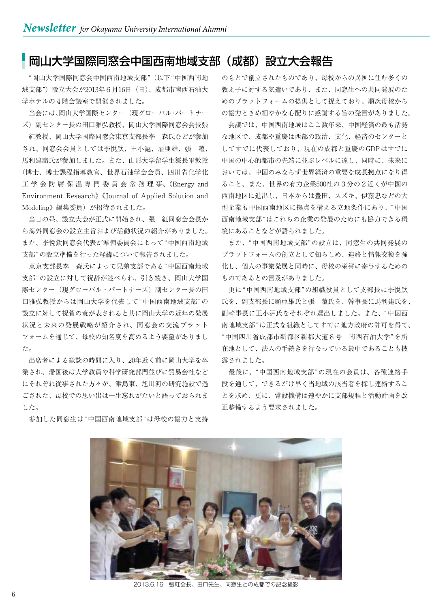#### 岡山大学国際同窓会中国西南地域支部(成都)設立大会報告

 "岡山大学国際同窓会中国西南地域支部"(以下"中国西南地 域支部")設立大会が2013年6月16日 (日)、成都市南西石油大 学ホテルの4階会議室で開催されました。

 当会には、岡山大学国際センター(現グローバル・パートナー ズ)副センター長の田口雅弘教授、岡山大学国際同窓会会長張

 紅教授、岡山大学国際同窓会東京支部長李 森氏などが参加 され、同窓会会員としては李悦欽、王小滬、雇亜雄、張 蘊、 馬利建諸氏が参加しました。また、山形大学留学生鄒長軍教授 (博士、博士課程指導教官、世界石油学会会員、四川省化学化 工 学 会 防 腐 保 温 専 門 委 員 会 常 務 理 事、《Energy and Environment Research》《Journal of Applied Solution and Modeling》編集委員)が招待されました。

 当日の昼、設立大会が正式に開始され、張 紅同窓会会長か ら海外同窓会の設立主旨および活動状況の紹介がありました。 また、李悦欽同窓会代表が準備委員会によって"中国西南地域 支部"の設立準備を行った経緯について報告されました。

 東京支部長李 森氏によって兄弟支部である"中国西南地域 支部"の設立に対して祝辞が述べられ、引き続き、岡山大学国 際センター(現グローバル・パートナーズ)副センター長の田 口雅弘教授からは岡山大学を代表して"中国西南地域支部"の 設立に対して祝賀の意が表されると共に岡山大学の近年の発展 状況と未来の発展戦略が紹介され、同窓会の交流プラット フォームを通じて、母校の知名度を高めるよう要望がありまし た。

 出席者による歓談の時間に入り、20年近く前に岡山大学を卒 業され、帰国後は大学教員や科学研究部門並びに貿易会社など にそれぞれ従事された方々が、津島東、旭川河の研究施設で過 ごされた、母校での思い出は一生忘れがたいと語っておられま した。

のもとで創立されたものであり、母校からの異国に住む多くの 教え子に対する気遣いであり、また、同窓生への共同発展のた めのプラットフォームの提供として捉えており、順次母校から の協力ときめ細やかな心配りに感謝する旨の発言がありました。

 会議では、中国西南地域はここ数年来、中国経済の最も活発 な地区で、成都や重慶は西部の政治、文化、経済のセンターと してすでに代表しており、現在の成都と重慶のGDPはすでに 中国の中心的都市の先端に並ぶレベルに達し、同時に、未来に おいては、中国のみならず世界経済の重要な成長拠点になり得 ること、また、世界の有力企業500社の3分の2近くが中国の 西南地区に進出し、日本からは豊田、スズキ、伊藤忠などの大 型企業も中国西南地区に拠点を構える立地条件にあり、"中国 西南地域支部"はこれらの企業の発展のためにも協力できる環 境にあることなどが語られました。

 また、"中国西南地域支部"の設立は、同窓生の共同発展の プラットフォームの創立として知らしめ、連絡と情報交換を強 化し、個人の事業発展と同時に、母校の栄誉に寄与するための ものであるとの言及がありました。

 更に"中国西南地域支部"の組織役員として支部長に李悦欽 氏を、副支部長に顧亜雄氏と張 蘊氏を、幹事長に馬利建氏を、 副幹事長に王小沪氏をそれぞれ選出しました。また、"中国西 南地域支部"は正式な組織としてすでに地方政府の許可を得て、 "中国四川省成都市新都区新都大道8号 南西石油大学"を所 在地として、法人の手続きを行なっている最中であることも披 露されました。

 最後に、"中国西南地域支部"の現在の会員は、各種連絡手 段を通して、できるだけ早く当地域の該当者を探し連絡するこ とを求め、更に、常設機構は速やかに支部規程と活動計画を改 正整備するよう要求されました。



参加した同窓生は"中国西南地域支部"は母校の協力と支持

2013.6.16 張紅会長、田口先生、同窓生との成都での記念撮影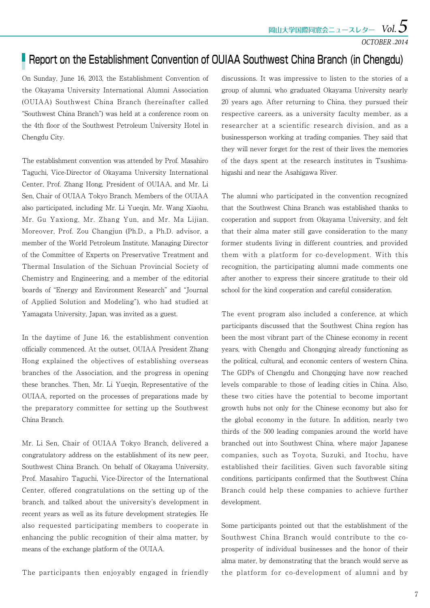### **Report on the Establishment Convention of OUIAA Southwest China Branch (in Chengdu)**

On Sunday, June 16, 2013, the Establishment Convention of the Okayama University International Alumni Association (OUIAA) Southwest China Branch (hereinafter called "Southwest China Branch") was held at a conference room on the 4th floor of the Southwest Petroleum University Hotel in Chengdu City.

The establishment convention was attended by Prof. Masahiro Taguchi, Vice-Director of Okayama University International Center, Prof. Zhang Hong, President of OUIAA, and Mr. Li Sen, Chair of OUIAA Tokyo Branch. Members of the OUIAA also participated, including Mr. Li Yueqin, Mr. Wang Xiaohu, Mr. Gu Yaxiong, Mr. Zhang Yun, and Mr. Ma Lijian. Moreover, Prof. Zou Changjun (Ph.D., a Ph.D. advisor, a member of the World Petroleum Institute, Managing Director of the Committee of Experts on Preservative Treatment and Thermal Insulation of the Sichuan Provincial Society of Chemistry and Engineering, and a member of the editorial boards of "Energy and Environment Research" and "Journal of Applied Solution and Modeling"), who had studied at Yamagata University, Japan, was invited as a guest.

In the daytime of June 16, the establishment convention officially commenced. At the outset, OUIAA President Zhang Hong explained the objectives of establishing overseas branches of the Association, and the progress in opening these branches. Then, Mr. Li Yueqin, Representative of the OUIAA, reported on the processes of preparations made by the preparatory committee for setting up the Southwest China Branch.

Mr. Li Sen, Chair of OUIAA Tokyo Branch, delivered a congratulatory address on the establishment of its new peer, Southwest China Branch. On behalf of Okayama University, Prof. Masahiro Taguchi, Vice-Director of the International Center, offered congratulations on the setting up of the branch, and talked about the university's development in recent years as well as its future development strategies. He also requested participating members to cooperate in enhancing the public recognition of their alma matter, by means of the exchange platform of the OUIAA.

The participants then enjoyably engaged in friendly

discussions. It was impressive to listen to the stories of a group of alumni, who graduated Okayama University nearly 20 years ago. After returning to China, they pursued their respective careers, as a university faculty member, as a researcher at a scientific research division, and as a businessperson working at trading companies. They said that they will never forget for the rest of their lives the memories of the days spent at the research institutes in Tsushimahigashi and near the Asahigawa River.

The alumni who participated in the convention recognized that the Southwest China Branch was established thanks to cooperation and support from Okayama University, and felt that their alma mater still gave consideration to the many former students living in different countries, and provided them with a platform for co-development. With this recognition, the participating alumni made comments one after another to express their sincere gratitude to their old school for the kind cooperation and careful consideration.

The event program also included a conference, at which participants discussed that the Southwest China region has been the most vibrant part of the Chinese economy in recent years, with Chengdu and Chongqing already functioning as the political, cultural, and economic centers of western China. The GDPs of Chengdu and Chongqing have now reached levels comparable to those of leading cities in China. Also, these two cities have the potential to become important growth hubs not only for the Chinese economy but also for the global economy in the future. In addition, nearly two thirds of the 500 leading companies around the world have branched out into Southwest China, where major Japanese companies, such as Toyota, Suzuki, and Itochu, have established their facilities. Given such favorable siting conditions, participants confirmed that the Southwest China Branch could help these companies to achieve further development.

Some participants pointed out that the establishment of the Southwest China Branch would contribute to the coprosperity of individual businesses and the honor of their alma mater, by demonstrating that the branch would serve as the platform for co-development of alumni and by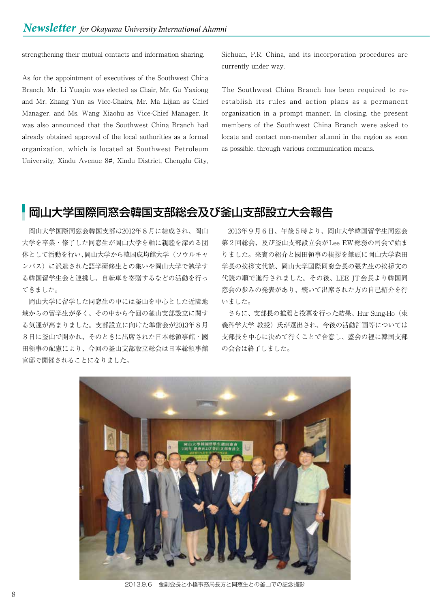strengthening their mutual contacts and information sharing.

As for the appointment of executives of the Southwest China Branch, Mr. Li Yueqin was elected as Chair, Mr. Gu Yaxiong and Mr. Zhang Yun as Vice-Chairs, Mr. Ma Lijian as Chief Manager, and Ms. Wang Xiaohu as Vice-Chief Manager. It was also announced that the Southwest China Branch had already obtained approval of the local authorities as a formal organization, which is located at Southwest Petroleum University, Xindu Avenue 8#, Xindu District, Chengdu City,

Sichuan, P.R. China, and its incorporation procedures are currently under way.

The Southwest China Branch has been required to reestablish its rules and action plans as a permanent organization in a prompt manner. In closing, the present members of the Southwest China Branch were asked to locate and contact non-member alumni in the region as soon as possible, through various communication means.

## 岡山大学国際同窓会韓国支部総会及び釜山支部設立大会報告

 岡山大学国際同窓会韓国支部は2012年8月に結成され、岡山 大学を卒業・修了した同窓生が岡山大学を軸に親睦を深める団 体として活動を行い、岡山大学から韓国成均館大学(ソウルキャ ンパス)に派遣された語学研修生との集いや岡山大学で勉学す る韓国留学生会と連携し、自転車を寄贈するなどの活動を行っ てきました。

 岡山大学に留学した同窓生の中には釜山を中心とした近隣地 域からの留学生が多く、その中から今回の釜山支部設立に関す る気運が高まりました。支部設立に向けた準備会が2013年8月 8日に釜山で開かれ、そのときに出席された日本総領事館・國 田領事の配慮により、今回の釜山支部設立総会は日本総領事館 官邸で開催されることになりました。

 2013年9月6日、午後5時より、岡山大学韓国留学生同窓会 第2回総会、及び釜山支部設立会がLee EW総務の司会で始ま りました。来賓の紹介と國田領事の挨拶を筆頭に岡山大学森田 学長の挨拶文代読、岡山大学国際同窓会長の張先生の挨拶文の 代読の順で進行されました。その後、LEE JT会長より韓国同 窓会の歩みの発表があり、続いて出席された方の自己紹介を行 いました。

 さらに、支部長の推薦と投票を行った結果、Hur Sung-Ho(東 義科学大学 教授)氏が選出され、今後の活動計画等については 支部長を中心に決めて行くことで合意し、盛会の裡に韓国支部 の会合は終了しました。



2013.9.6 金副会長と小橋事務局長方と同窓生との釜山での記念撮影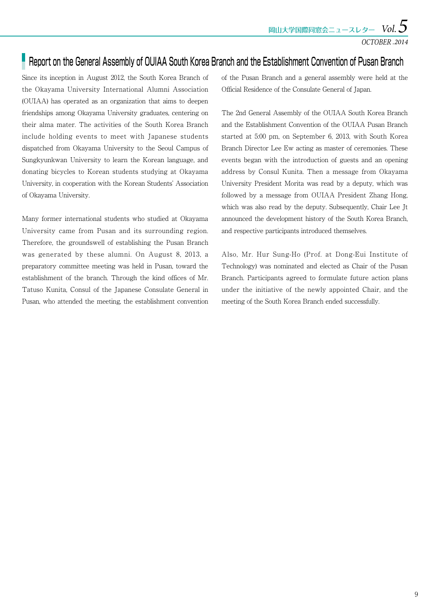## Report on the General Assembly of OUIAA South Korea Branch and the Establishment Convention of Pusan Branch

Since its inception in August 2012, the South Korea Branch of the Okayama University International Alumni Association (OUIAA) has operated as an organization that aims to deepen friendships among Okayama University graduates, centering on their alma mater. The activities of the South Korea Branch include holding events to meet with Japanese students dispatched from Okayama University to the Seoul Campus of Sungkyunkwan University to learn the Korean language, and donating bicycles to Korean students studying at Okayama University, in cooperation with the Korean Students' Association of Okayama University.

Many former international students who studied at Okayama University came from Pusan and its surrounding region. Therefore, the groundswell of establishing the Pusan Branch was generated by these alumni. On August 8, 2013, a preparatory committee meeting was held in Pusan, toward the establishment of the branch. Through the kind offices of Mr. Tatuso Kunita, Consul of the Japanese Consulate General in Pusan, who attended the meeting, the establishment convention of the Pusan Branch and a general assembly were held at the Official Residence of the Consulate General of Japan.

The 2nd General Assembly of the OUIAA South Korea Branch and the Establishment Convention of the OUIAA Pusan Branch started at 5:00 pm, on September 6, 2013, with South Korea Branch Director Lee Ew acting as master of ceremonies. These events began with the introduction of guests and an opening address by Consul Kunita. Then a message from Okayama University President Morita was read by a deputy, which was followed by a message from OUIAA President Zhang Hong, which was also read by the deputy. Subsequently, Chair Lee Jt announced the development history of the South Korea Branch, and respective participants introduced themselves.

Also, Mr. Hur Sung-Ho (Prof. at Dong-Eui Institute of Technology) was nominated and elected as Chair of the Pusan Branch. Participants agreed to formulate future action plans under the initiative of the newly appointed Chair, and the meeting of the South Korea Branch ended successfully.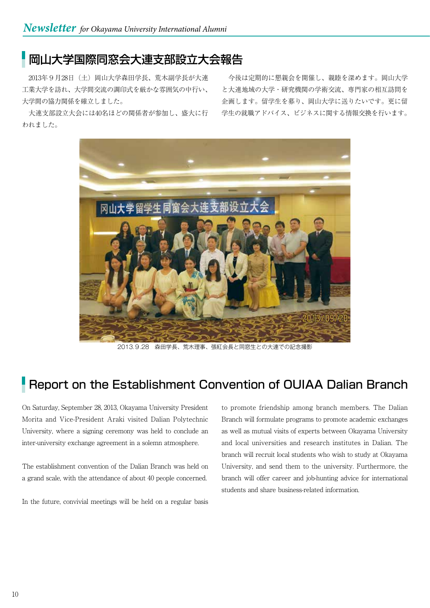## 岡山大学国際同窓会大連支部設立大会報告

2013年9月28日 (土) 岡山大学森田学長、荒木副学長が大連 工業大学を訪れ、大学間交流の調印式を厳かな雰囲気の中行い、 大学間の協力関係を確立しました。

 大連支部設立大会には40名ほどの関係者が参加し、盛大に行 われました。

 今後は定期的に懇親会を開催し、親睦を深めます。岡山大学 と大連地域の大学・研究機関の学術交流、専門家の相互訪問を 企画します。留学生を募り、岡山大学に送りたいです。更に留 学生の就職アドバイス、ビジネスに関する情報交換を行います。



2013.9.28 森田学長、荒木理事、張紅会長と同窓生との大連での記念撮影

## Report on the Establishment Convention of OUIAA Dalian Branch

On Saturday, September 28, 2013, Okayama University President Morita and Vice-President Araki visited Dalian Polytechnic University, where a signing ceremony was held to conclude an inter-university exchange agreement in a solemn atmosphere.

The establishment convention of the Dalian Branch was held on a grand scale, with the attendance of about 40 people concerned.

In the future, convivial meetings will be held on a regular basis

to promote friendship among branch members. The Dalian Branch will formulate programs to promote academic exchanges as well as mutual visits of experts between Okayama University and local universities and research institutes in Dalian. The branch will recruit local students who wish to study at Okayama University, and send them to the university. Furthermore, the branch will offer career and job-hunting advice for international students and share business-related information.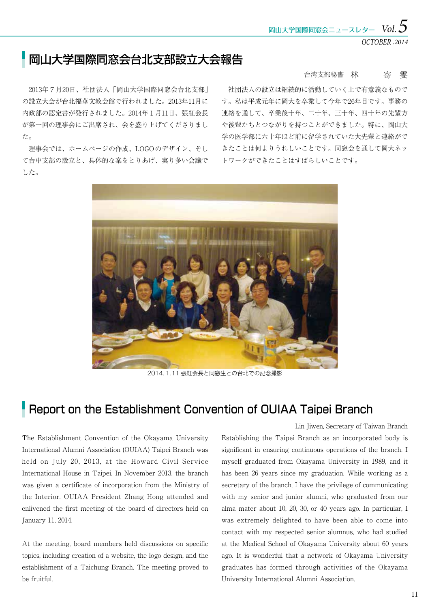OCTOBER *.2014*

## 岡山大学国際同窓会台北支部設立大会報告

 2013年7月20日、社団法人「岡山大学国際同窓会台北支部」 の設立大会が台北福華文教会館で行われました。2013年11月に 内政部の認定書が発行されました。2014年1月11日、張紅会長 が第一回の理事会にご出席され、会を盛り上げてくださりまし た。

 理事会では、ホームページの作成、LOGOのデザイン、そし て台中支部の設立と、具体的な案をとりあげ、実り多い会議で した。

#### 台湾支部秘書 林 寄 寄 雯

 社団法人の設立は継続的に活動していく上で有意義なもので す。私は平成元年に岡大を卒業して今年で26年目です。事務の 連絡を通して、卒業後十年、二十年、三十年、四十年の先輩方 や後輩たちとつながりを持つことができました。特に、岡山大 学の医学部に六十年ほど前に留学されていた大先輩と連絡がで きたことは何よりうれしいことです。同窓会を通して岡大ネッ トワークができたことはすばらしいことです。



2014.1.11 張紅会長と同窓生との台北での記念撮影

## Report on the Establishment Convention of OUIAA Taipei Branch

The Establishment Convention of the Okayama University International Alumni Association (OUIAA) Taipei Branch was held on July 20, 2013, at the Howard Civil Service International House in Taipei. In November 2013, the branch was given a certificate of incorporation from the Ministry of the Interior. OUIAA President Zhang Hong attended and enlivened the first meeting of the board of directors held on January 11, 2014.

At the meeting, board members held discussions on specific topics, including creation of a website, the logo design, and the establishment of a Taichung Branch. The meeting proved to be fruitful.

Establishing the Taipei Branch as an incorporated body is significant in ensuring continuous operations of the branch. I myself graduated from Okayama University in 1989, and it has been 26 years since my graduation. While working as a secretary of the branch, I have the privilege of communicating with my senior and junior alumni, who graduated from our alma mater about 10, 20, 30, or 40 years ago. In particular, I was extremely delighted to have been able to come into contact with my respected senior alumnus, who had studied at the Medical School of Okayama University about 60 years ago. It is wonderful that a network of Okayama University graduates has formed through activities of the Okayama University International Alumni Association. Lin Jiwen, Secretary of Taiwan Branch